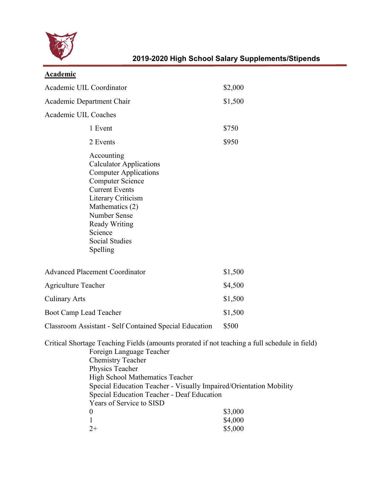

| Academic |
|----------|
|          |

| <b>Academic UIL Coordinator</b>                                                                                                                                                                                                                                                                                                                                           | \$2,000 |
|---------------------------------------------------------------------------------------------------------------------------------------------------------------------------------------------------------------------------------------------------------------------------------------------------------------------------------------------------------------------------|---------|
| Academic Department Chair                                                                                                                                                                                                                                                                                                                                                 | \$1,500 |
| <b>Academic UIL Coaches</b>                                                                                                                                                                                                                                                                                                                                               |         |
| 1 Event                                                                                                                                                                                                                                                                                                                                                                   | \$750   |
| 2 Events                                                                                                                                                                                                                                                                                                                                                                  | \$950   |
| Accounting<br><b>Calculator Applications</b><br><b>Computer Applications</b><br><b>Computer Science</b><br><b>Current Events</b><br><b>Literary Criticism</b><br>Mathematics (2)<br><b>Number Sense</b><br><b>Ready Writing</b><br>Science<br><b>Social Studies</b><br>Spelling                                                                                           |         |
| <b>Advanced Placement Coordinator</b>                                                                                                                                                                                                                                                                                                                                     | \$1,500 |
| <b>Agriculture Teacher</b>                                                                                                                                                                                                                                                                                                                                                | \$4,500 |
| <b>Culinary Arts</b>                                                                                                                                                                                                                                                                                                                                                      | \$1,500 |
| <b>Boot Camp Lead Teacher</b>                                                                                                                                                                                                                                                                                                                                             | \$1,500 |
| <b>Classroom Assistant - Self Contained Special Education</b>                                                                                                                                                                                                                                                                                                             | \$500   |
| Critical Shortage Teaching Fields (amounts prorated if not teaching a full schedule in field)<br>Foreign Language Teacher<br><b>Chemistry Teacher</b><br>Physics Teacher<br><b>High School Mathematics Teacher</b><br>Special Education Teacher - Visually Impaired/Orientation Mobility<br>Special Education Teacher - Deaf Education<br>$\mathbf{v}$ can a $\mathbf{v}$ |         |

Years of Service to SISD 0  $$3,000$ 1 \$4,000  $2+$  \$5,000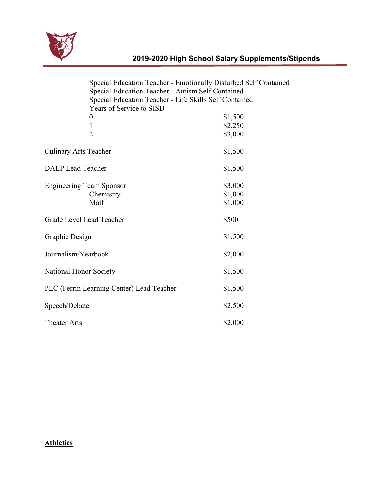

| Special Education Teacher - Emotionally Disturbed Self Contained<br>Special Education Teacher - Autism Self Contained |                    |
|-----------------------------------------------------------------------------------------------------------------------|--------------------|
| Special Education Teacher - Life Skills Self Contained                                                                |                    |
| Years of Service to SISD                                                                                              |                    |
| 0<br>$\mathbf{1}$                                                                                                     | \$1,500<br>\$2,250 |
| $2+$                                                                                                                  | \$3,000            |
| <b>Culinary Arts Teacher</b>                                                                                          | \$1,500            |
| <b>DAEP</b> Lead Teacher                                                                                              | \$1,500            |
| <b>Engineering Team Sponsor</b>                                                                                       | \$3,000            |
| Chemistry                                                                                                             | \$1,000            |
| Math                                                                                                                  | \$1,000            |
| Grade Level Lead Teacher                                                                                              | \$500              |
| Graphic Design                                                                                                        | \$1,500            |
| Journalism/Yearbook                                                                                                   | \$2,000            |
| National Honor Society                                                                                                | \$1,500            |
| PLC (Perrin Learning Center) Lead Teacher                                                                             | \$1,500            |
| Speech/Debate                                                                                                         | \$2,500            |
| <b>Theater Arts</b>                                                                                                   | \$2,000            |

## **Athletics**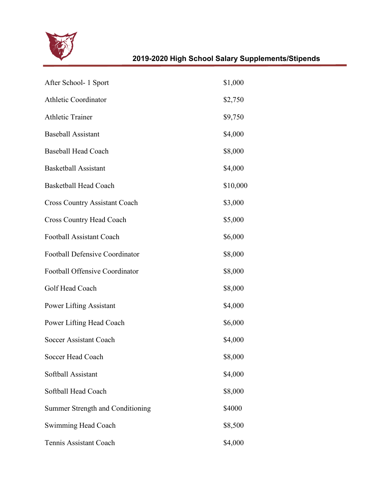

| After School- 1 Sport                 | \$1,000  |
|---------------------------------------|----------|
| <b>Athletic Coordinator</b>           | \$2,750  |
| <b>Athletic Trainer</b>               | \$9,750  |
| <b>Baseball Assistant</b>             | \$4,000  |
| <b>Baseball Head Coach</b>            | \$8,000  |
| <b>Basketball Assistant</b>           | \$4,000  |
| <b>Basketball Head Coach</b>          | \$10,000 |
| <b>Cross Country Assistant Coach</b>  | \$3,000  |
| <b>Cross Country Head Coach</b>       | \$5,000  |
| Football Assistant Coach              | \$6,000  |
| <b>Football Defensive Coordinator</b> | \$8,000  |
| Football Offensive Coordinator        | \$8,000  |
| Golf Head Coach                       | \$8,000  |
| <b>Power Lifting Assistant</b>        | \$4,000  |
| Power Lifting Head Coach              | \$6,000  |
| Soccer Assistant Coach                | \$4,000  |
| Soccer Head Coach                     | \$8,000  |
| Softball Assistant                    | \$4,000  |
| Softball Head Coach                   | \$8,000  |
| Summer Strength and Conditioning      | \$4000   |
| Swimming Head Coach                   | \$8,500  |
| Tennis Assistant Coach                | \$4,000  |